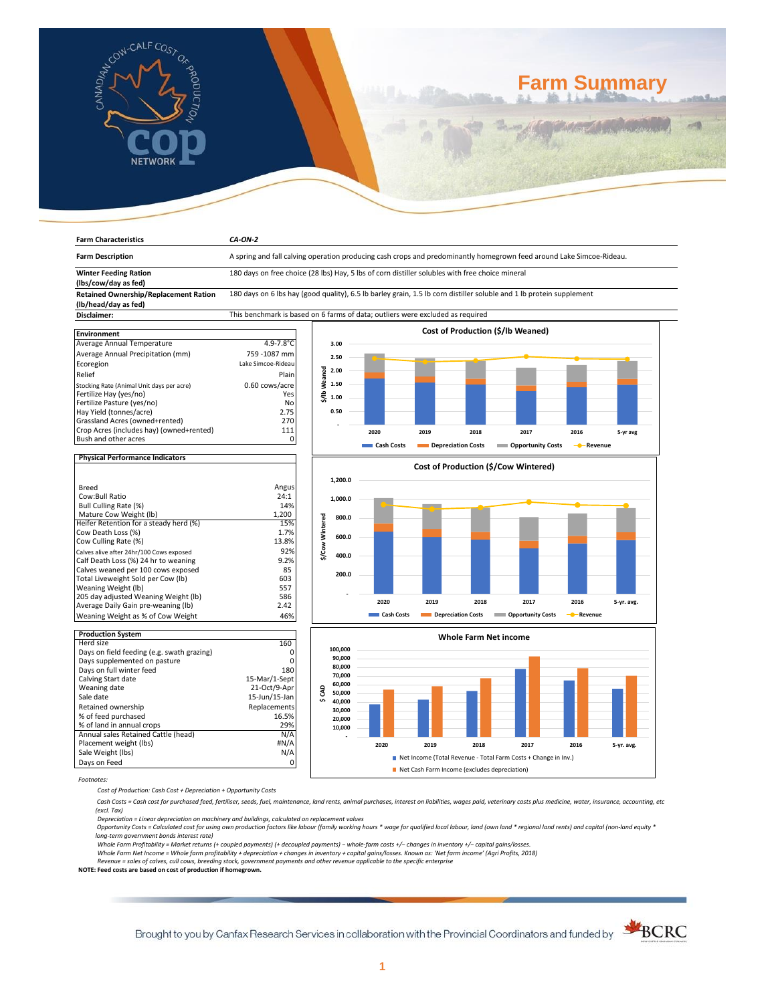

**Farm Characteristics** *CA-ON-2*

# **Farm Summary**

| <b>Farm Description</b>                                                                                                      | A spring and fall calving operation producing cash crops and predominantly homegrown feed around Lake Simcoe-Rideau. |                 |                                      |            |      |                              |                                   |           |            |
|------------------------------------------------------------------------------------------------------------------------------|----------------------------------------------------------------------------------------------------------------------|-----------------|--------------------------------------|------------|------|------------------------------|-----------------------------------|-----------|------------|
| <b>Winter Feeding Ration</b>                                                                                                 | 180 days on free choice (28 lbs) Hay, 5 lbs of corn distiller solubles with free choice mineral                      |                 |                                      |            |      |                              |                                   |           |            |
| (lbs/cow/day as fed)                                                                                                         |                                                                                                                      |                 |                                      |            |      |                              |                                   |           |            |
| <b>Retained Ownership/Replacement Ration</b>                                                                                 | 180 days on 6 lbs hay (good quality), 6.5 lb barley grain, 1.5 lb corn distiller soluble and 1 lb protein supplement |                 |                                      |            |      |                              |                                   |           |            |
| (lb/head/day as fed)                                                                                                         |                                                                                                                      |                 |                                      |            |      |                              |                                   |           |            |
| Disclaimer:                                                                                                                  | This benchmark is based on 6 farms of data; outliers were excluded as required                                       |                 |                                      |            |      |                              |                                   |           |            |
| <b>Environment</b><br>Average Annual Temperature                                                                             | $4.9 - 7.8^{\circ}$ C                                                                                                |                 | 3.00                                 |            |      |                              | Cost of Production (\$/lb Weaned) |           |            |
| Average Annual Precipitation (mm)                                                                                            | 759-1087 mm                                                                                                          |                 | 2.50                                 |            |      |                              |                                   |           |            |
| Ecoregion<br>Relief                                                                                                          | Lake Simcoe-Rideau<br>Plain                                                                                          | \$/Ib Weaned    | 2.00<br>1.50                         |            |      |                              |                                   |           |            |
| Stocking Rate (Animal Unit days per acre)<br>Fertilize Hay (yes/no)<br>Fertilize Pasture (yes/no)<br>Hay Yield (tonnes/acre) | 0.60 cows/acre<br>Yes<br>No<br>2.75                                                                                  |                 | 1.00<br>0.50                         |            |      |                              |                                   |           |            |
| Grassland Acres (owned+rented)                                                                                               | 270                                                                                                                  |                 |                                      |            |      |                              |                                   |           |            |
| Crop Acres (includes hay) (owned+rented)                                                                                     | 111                                                                                                                  |                 |                                      | 2020       | 2019 | 2018                         | 2017                              | 2016      | 5-yr avg   |
| Bush and other acres                                                                                                         | 0                                                                                                                    |                 |                                      |            |      |                              |                                   |           |            |
|                                                                                                                              |                                                                                                                      |                 |                                      | Cash Costs |      | Depreciation Costs           | <b>Opportunity Costs</b>          | - Revenue |            |
| <b>Physical Performance Indicators</b>                                                                                       |                                                                                                                      |                 |                                      |            |      |                              |                                   |           |            |
|                                                                                                                              |                                                                                                                      |                 | Cost of Production (\$/Cow Wintered) |            |      |                              |                                   |           |            |
|                                                                                                                              |                                                                                                                      |                 | 1,200.0                              |            |      |                              |                                   |           |            |
| <b>Breed</b>                                                                                                                 | Angus                                                                                                                |                 |                                      |            |      |                              |                                   |           |            |
| Cow:Bull Ratio                                                                                                               | 24:1                                                                                                                 |                 | 1,000.0                              |            |      |                              |                                   |           |            |
| Bull Culling Rate (%)                                                                                                        | 14%                                                                                                                  |                 |                                      |            |      |                              |                                   |           |            |
| Mature Cow Weight (lb)                                                                                                       | 1,200<br>15%                                                                                                         | \$/Cow Wintered | 800.0                                |            |      |                              |                                   |           |            |
| Heifer Retention for a steady herd (%)<br>Cow Death Loss (%)                                                                 | 1.7%                                                                                                                 |                 |                                      |            |      |                              |                                   |           |            |
| Cow Culling Rate (%)                                                                                                         | 13.8%                                                                                                                |                 | 600.0                                |            |      |                              |                                   |           |            |
| Calves alive after 24hr/100 Cows exposed                                                                                     | 92%                                                                                                                  |                 |                                      |            |      |                              |                                   |           |            |
| Calf Death Loss (%) 24 hr to weaning                                                                                         | 9.2%                                                                                                                 |                 | 400.0                                |            |      |                              |                                   |           |            |
| Calves weaned per 100 cows exposed                                                                                           | 85                                                                                                                   |                 |                                      |            |      |                              |                                   |           |            |
| Total Liveweight Sold per Cow (lb)                                                                                           | 603                                                                                                                  |                 | 200.0                                |            |      |                              |                                   |           |            |
| Weaning Weight (lb)                                                                                                          | 557                                                                                                                  |                 |                                      |            |      |                              |                                   |           |            |
| 205 day adjusted Weaning Weight (lb)                                                                                         | 586                                                                                                                  |                 |                                      |            |      |                              |                                   |           |            |
| Average Daily Gain pre-weaning (lb)                                                                                          | 2.42                                                                                                                 |                 |                                      | 2020       | 2019 | 2018                         | 2017                              | 2016      | 5-yr. avg. |
| Weaning Weight as % of Cow Weight                                                                                            | 46%                                                                                                                  |                 |                                      | Cash Costs |      | Depreciation Costs           | <b>Copportunity Costs</b>         | - Revenue |            |
|                                                                                                                              |                                                                                                                      |                 |                                      |            |      |                              |                                   |           |            |
| <b>Production System</b>                                                                                                     |                                                                                                                      |                 |                                      |            |      | <b>Whole Farm Net income</b> |                                   |           |            |
| Herd size                                                                                                                    | 160                                                                                                                  |                 | 100,000                              |            |      |                              |                                   |           |            |
| Days on field feeding (e.g. swath grazing)                                                                                   | 0                                                                                                                    |                 | 90,000                               |            |      |                              |                                   |           |            |
| Days supplemented on pasture                                                                                                 | $\Omega$                                                                                                             |                 | 80,000                               |            |      |                              |                                   |           |            |
| Days on full winter feed                                                                                                     | 180<br>15-Mar/1-Sept                                                                                                 |                 | 70.000                               |            |      |                              |                                   |           |            |
| Calving Start date                                                                                                           |                                                                                                                      |                 | 60.000                               |            |      |                              |                                   |           |            |

| <b>Production System</b>                   |               |
|--------------------------------------------|---------------|
| Herd size                                  | 160           |
| Days on field feeding (e.g. swath grazing) |               |
| Days supplemented on pasture               |               |
| Days on full winter feed                   | 180           |
| Calving Start date                         | 15-Mar/1-Sept |
| Weaning date                               | 21-Oct/9-Apr  |
| Sale date                                  | 15-Jun/15-Jan |
| Retained ownership                         | Replacements  |
| % of feed purchased                        | 16.5%         |
| % of land in annual crops                  | 29%           |
| Annual sales Retained Cattle (head)        | N/A           |
| Placement weight (lbs)                     | #N/A          |
| Sale Weight (lbs)                          |               |
| Days on Feed                               |               |



Net Cash Farm Income (excludes depreciation)

*Footnotes:*

*Cost of Production: Cash Cost + Depreciation + Opportunity Costs*

 *Cash Costs = Cash cost for purchased feed, fertiliser, seeds, fuel, maintenance, land rents, animal purchases, interest on liabilities, wages paid, veterinary costs plus medicine, water, insurance, accounting, etc (excl. Tax)* 

Depreciation = Linear depreciation on machinery and buildings, calculated on replacement values<br>Opportunity Costs = Calculated cost for using own production factors like labour (family working hours \* wage for qualified lo *long-term government bonds interest rate)* 

Whole Farm Profitability = Market returns (+ coupled payments) (+ decoupled payments) – whole-farm costs +/– changes in inventory +/– capital gains/losses.<br>Whole Farm Net Income = Whole farm profitability + depreciation +

*Revenue = sales of calves, cull cows, breeding stock, government payments and other revenue applicable to the specific enterprise* **NOTE: Feed costs are based on cost of production if homegrown.**

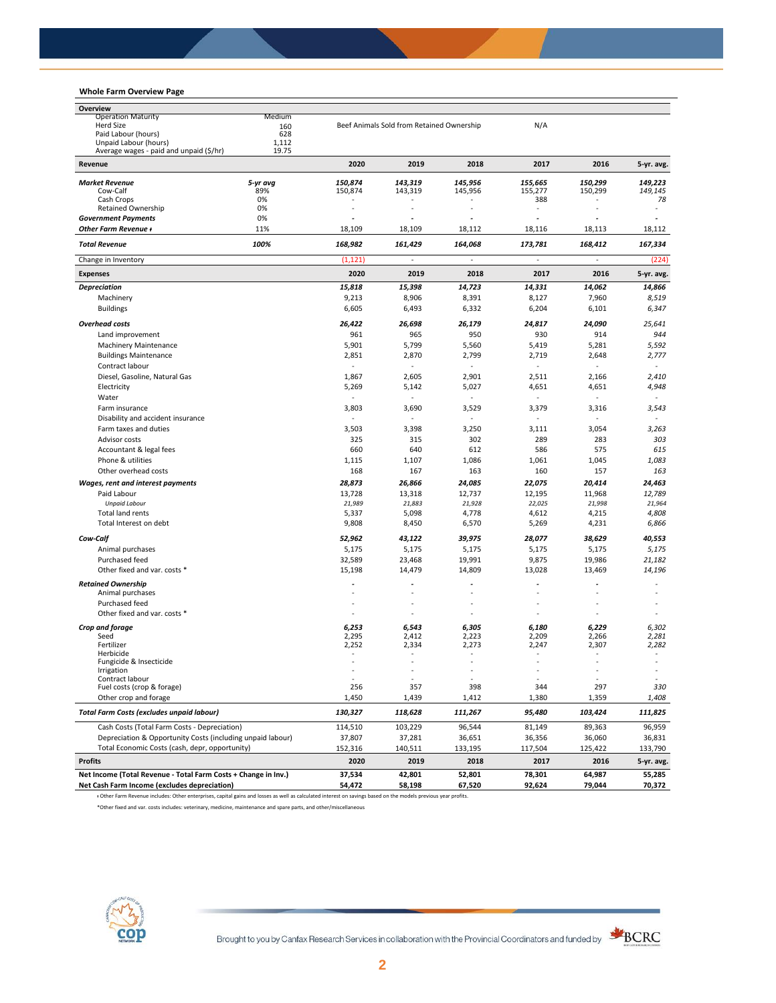## **Whole Farm Overview Page**

| Overview                                                       |              |                 |                                           |                 |                                 |                 |                          |
|----------------------------------------------------------------|--------------|-----------------|-------------------------------------------|-----------------|---------------------------------|-----------------|--------------------------|
| <b>Operation Maturity</b>                                      | Medium       |                 |                                           |                 |                                 |                 |                          |
| <b>Herd Size</b>                                               | 160          |                 | Beef Animals Sold from Retained Ownership |                 | N/A                             |                 |                          |
| Paid Labour (hours)<br>Unpaid Labour (hours)                   | 628<br>1,112 |                 |                                           |                 |                                 |                 |                          |
| Average wages - paid and unpaid (\$/hr)                        | 19.75        |                 |                                           |                 |                                 |                 |                          |
| Revenue                                                        |              | 2020            | 2019                                      | 2018            | 2017                            | 2016            | 5-yr. avg.               |
| <b>Market Revenue</b>                                          | 5-yr avg     | 150,874         | 143,319                                   | 145,956         | 155,665                         | 150.299         | 149,223                  |
| Cow-Calf                                                       | 89%          | 150,874         | 143,319                                   | 145,956         | 155,277                         | 150,299         | 149,145                  |
| Cash Crops                                                     | 0%           |                 |                                           |                 | 388                             |                 | 78                       |
| <b>Retained Ownership</b>                                      | 0%           |                 |                                           |                 | ٠                               |                 |                          |
| <b>Government Payments</b><br>Other Farm Revenue +             | 0%<br>11%    | 18,109          | 18,109                                    | 18,112          | $\tilde{\phantom{a}}$<br>18,116 | 18,113          | 18,112                   |
| <b>Total Revenue</b>                                           | 100%         | 168,982         | 161,429                                   | 164,068         | 173,781                         | 168,412         | 167,334                  |
| Change in Inventory                                            |              | (1, 121)        |                                           |                 | ä,                              |                 | (224)                    |
| <b>Expenses</b>                                                |              | 2020            | 2019                                      | 2018            | 2017                            | 2016            | 5-yr. avg.               |
|                                                                |              |                 |                                           |                 |                                 |                 |                          |
| <b>Depreciation</b><br>Machinery                               |              | 15,818<br>9,213 | 15,398<br>8,906                           | 14,723<br>8,391 | 14,331<br>8,127                 | 14,062<br>7,960 | 14,866<br>8,519          |
| <b>Buildings</b>                                               |              | 6,605           | 6,493                                     | 6,332           | 6,204                           | 6,101           | 6,347                    |
|                                                                |              |                 |                                           |                 |                                 |                 |                          |
| <b>Overhead costs</b>                                          |              | 26,422          | 26,698                                    | 26,179          | 24,817                          | 24,090          | 25,641                   |
| Land improvement                                               |              | 961             | 965                                       | 950             | 930                             | 914             | 944                      |
| <b>Machinery Maintenance</b>                                   |              | 5,901           | 5,799                                     | 5,560           | 5,419                           | 5,281           | 5,592                    |
| <b>Buildings Maintenance</b>                                   |              | 2,851           | 2,870                                     | 2,799           | 2,719                           | 2,648           | 2,777                    |
| Contract labour                                                |              | $\sim$          |                                           |                 |                                 |                 |                          |
| Diesel, Gasoline, Natural Gas                                  |              | 1,867           | 2,605                                     | 2,901           | 2,511                           | 2,166           | 2,410                    |
| Electricity                                                    |              | 5,269           | 5,142                                     | 5,027           | 4,651                           | 4,651           | 4,948                    |
| Water                                                          |              | $\sim$          | ٠                                         | ÷.              | $\overline{a}$                  | ÷               | $\overline{\phantom{a}}$ |
| Farm insurance                                                 |              | 3,803           | 3,690                                     | 3,529           | 3,379                           | 3,316           | 3,543                    |
| Disability and accident insurance                              |              |                 |                                           |                 |                                 |                 |                          |
| Farm taxes and duties                                          |              | 3,503           | 3,398                                     | 3,250           | 3,111                           | 3,054           | 3,263                    |
| Advisor costs                                                  |              | 325             | 315                                       | 302             | 289                             | 283             | 303                      |
| Accountant & legal fees                                        |              | 660             | 640                                       | 612             | 586                             | 575             | 615                      |
| Phone & utilities                                              |              | 1,115           | 1,107                                     | 1,086           | 1,061                           | 1,045           | 1,083                    |
| Other overhead costs                                           |              | 168             | 167                                       | 163             | 160                             | 157             | 163                      |
| Wages, rent and interest payments                              |              | 28,873          | 26,866                                    | 24,085          | 22,075                          | 20,414          | 24,463                   |
| Paid Labour                                                    |              | 13,728          | 13,318                                    | 12,737          | 12,195                          | 11,968          | 12,789                   |
| <b>Unpaid Labour</b>                                           |              | 21,989          | 21,883                                    | 21,928          | 22,025                          | 21,998          | 21,964                   |
| Total land rents                                               |              | 5,337           | 5,098                                     | 4,778           | 4,612                           | 4,215           | 4,808                    |
| Total Interest on debt                                         |              | 9,808           | 8,450                                     | 6,570           | 5,269                           | 4,231           | 6,866                    |
| Cow-Calf                                                       |              | 52,962          | 43,122                                    | 39,975          | 28,077                          | 38,629          | 40,553                   |
| Animal purchases                                               |              | 5,175           | 5,175                                     | 5,175           | 5,175                           | 5,175           | 5,175                    |
| Purchased feed                                                 |              | 32,589          | 23,468                                    | 19,991          | 9,875                           | 19,986          | 21,182                   |
| Other fixed and var. costs *                                   |              | 15,198          | 14,479                                    | 14,809          | 13,028                          | 13,469          | 14,196                   |
| <b>Retained Ownership</b>                                      |              |                 |                                           |                 |                                 |                 |                          |
| Animal purchases                                               |              |                 |                                           |                 |                                 |                 |                          |
| Purchased feed                                                 |              |                 |                                           |                 |                                 |                 |                          |
| Other fixed and var. costs *                                   |              | $\sim$          | ä,                                        |                 | ٠                               |                 |                          |
| Crop and forage                                                |              | 6,253           | 6,543                                     | 6,305           | 6,180                           | 6,229           | 6,302                    |
| Seed                                                           |              | 2,295           | 2,412                                     | 2,223           | 2,209                           | 2,266           | 2,281                    |
| Fertilizer                                                     |              | 2,252           | 2,334                                     | 2,273           | 2,247                           | 2,307           | 2,282                    |
| Herbicide                                                      |              |                 |                                           |                 |                                 |                 |                          |
| Fungicide & Insecticide<br>Irrigation                          |              |                 | ÷,                                        | í,              | ÷,                              | ÷,              |                          |
| Contract labour                                                |              |                 |                                           |                 |                                 |                 |                          |
| Fuel costs (crop & forage)                                     |              | 256             | 357                                       | 398             | 344                             | 297             | 330                      |
| Other crop and forage                                          |              | 1,450           | 1,439                                     | 1,412           | 1,380                           | 1,359           | 1,408                    |
| <b>Total Farm Costs (excludes unpaid labour)</b>               |              | 130,327         | 118,628                                   | 111,267         | 95,480                          | 103,424         | 111,825                  |
| Cash Costs (Total Farm Costs - Depreciation)                   |              | 114,510         | 103,229                                   | 96,544          | 81,149                          | 89,363          | 96,959                   |
| Depreciation & Opportunity Costs (including unpaid labour)     |              | 37,807          | 37,281                                    | 36,651          | 36,356                          | 36,060          | 36,831                   |
| Total Economic Costs (cash, depr, opportunity)                 |              | 152,316         | 140,511                                   | 133,195         | 117,504                         | 125,422         | 133,790                  |
| <b>Profits</b>                                                 |              | 2020            | 2019                                      | 2018            | 2017                            | 2016            | 5-yr. avg.               |
| Net Income (Total Revenue - Total Farm Costs + Change in Inv.) |              | 37,534          | 42,801                                    | 52,801          | 78,301                          | 64,987          | 55,285                   |
| Net Cash Farm Income (excludes depreciation)                   |              | 54,472          | 58,198                                    | 67,520          | 92,624                          | 79,044          | 70,372                   |

ᵻ Other Farm Revenue includes: Other enterprises, capital gains and losses as well as calculated interest on savings based on the models previous year profits.

\*Other fixed and var. costs includes: veterinary, medicine, maintenance and spare parts, and other/miscellaneous



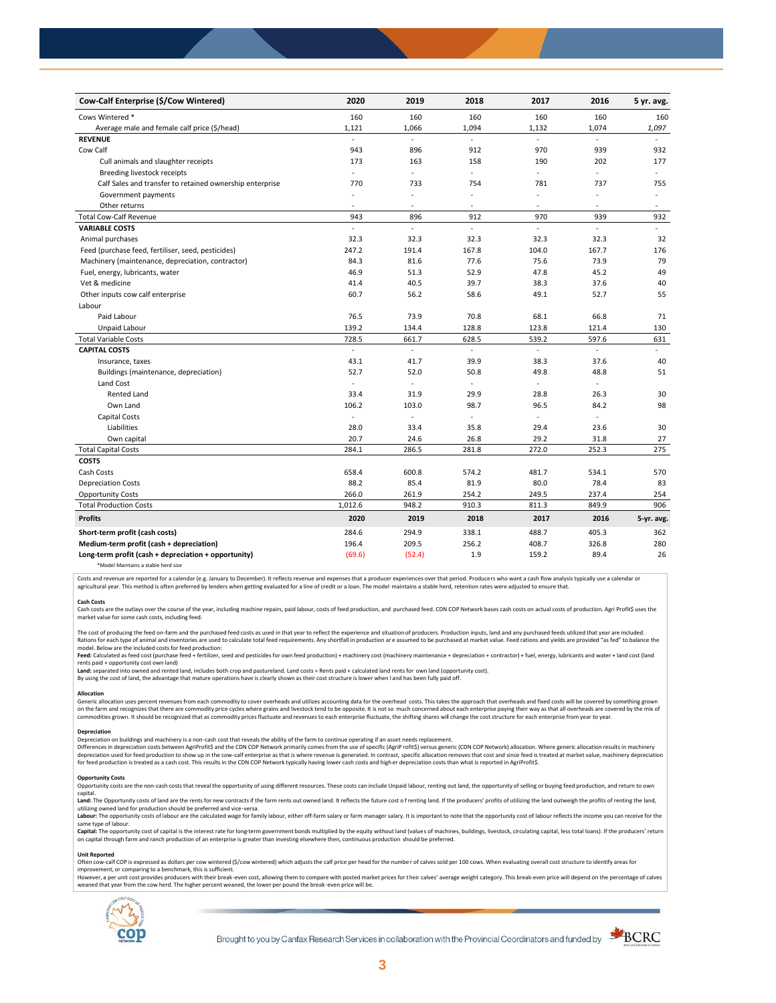| Cow-Calf Enterprise (\$/Cow Wintered)                    | 2020                     | 2019          | 2018                 | 2017                     | 2016                     | 5 yr. avg.     |
|----------------------------------------------------------|--------------------------|---------------|----------------------|--------------------------|--------------------------|----------------|
| Cows Wintered *                                          | 160                      | 160           | 160                  | 160                      | 160                      | 160            |
| Average male and female calf price (\$/head)             | 1,121                    | 1,066         | 1,094                | 1,132                    | 1,074                    | 1,097          |
| <b>REVENUE</b>                                           |                          |               |                      |                          |                          |                |
| Cow Calf                                                 | 943                      | 896           | 912                  | 970                      | 939                      | 932            |
| Cull animals and slaughter receipts                      | 173                      | 163           | 158                  | 190                      | 202                      | 177            |
| Breeding livestock receipts                              | ÷.                       | ÷,            | ÷.                   | ÷                        | ÷,                       | $\sim$         |
| Calf Sales and transfer to retained ownership enterprise | 770                      | 733           | 754                  | 781                      | 737                      | 755            |
| Government payments                                      | $\overline{\phantom{a}}$ | ÷,            | ÷,                   | $\blacksquare$           | ä,                       | $\sim$         |
| Other returns                                            | ٠                        | ٠             | $\overline{a}$       | $\overline{\phantom{a}}$ | $\overline{\phantom{a}}$ | $\sim$         |
| <b>Total Cow-Calf Revenue</b>                            | 943                      | 896           | 912                  | 970                      | 939                      | 932            |
| <b>VARIABLE COSTS</b>                                    | L.                       | $\frac{1}{2}$ | L.                   | L.                       | $\overline{\phantom{a}}$ | $\blacksquare$ |
| Animal purchases                                         | 32.3                     | 32.3          | 32.3                 | 32.3                     | 32.3                     | 32             |
| Feed (purchase feed, fertiliser, seed, pesticides)       | 247.2                    | 191.4         | 167.8                | 104.0                    | 167.7                    | 176            |
| Machinery (maintenance, depreciation, contractor)        | 84.3                     | 81.6          | 77.6                 | 75.6                     | 73.9                     | 79             |
| Fuel, energy, lubricants, water                          | 46.9                     | 51.3          | 52.9                 | 47.8                     | 45.2                     | 49             |
| Vet & medicine                                           | 41.4                     | 40.5          | 39.7                 | 38.3                     | 37.6                     | 40             |
| Other inputs cow calf enterprise                         | 60.7                     | 56.2          | 58.6                 | 49.1                     | 52.7                     | 55             |
| Labour                                                   |                          |               |                      |                          |                          |                |
| Paid Labour                                              | 76.5                     | 73.9          | 70.8                 | 68.1                     | 66.8                     | 71             |
| Unpaid Labour                                            | 139.2                    | 134.4         | 128.8                | 123.8                    | 121.4                    | 130            |
| <b>Total Variable Costs</b>                              | 728.5                    | 661.7         | 628.5                | 539.2                    | 597.6                    | 631            |
| <b>CAPITAL COSTS</b>                                     |                          | L.            |                      | ä,                       |                          |                |
| Insurance, taxes                                         | 43.1                     | 41.7          | 39.9                 | 38.3                     | 37.6                     | 40             |
| Buildings (maintenance, depreciation)                    | 52.7                     | 52.0          | 50.8                 | 49.8                     | 48.8                     | 51             |
| Land Cost                                                | ÷,                       | $\sim$        | $\ddot{\phantom{1}}$ | ÷                        |                          |                |
| <b>Rented Land</b>                                       | 33.4                     | 31.9          | 29.9                 | 28.8                     | 26.3                     | 30             |
| Own Land                                                 | 106.2                    | 103.0         | 98.7                 | 96.5                     | 84.2                     | 98             |
| Capital Costs                                            | L.                       | ÷,            |                      | $\overline{\phantom{a}}$ | ÷,                       |                |
| Liabilities                                              | 28.0                     | 33.4          | 35.8                 | 29.4                     | 23.6                     | 30             |
| Own capital                                              | 20.7                     | 24.6          | 26.8                 | 29.2                     | 31.8                     | 27             |
| <b>Total Capital Costs</b>                               | 284.1                    | 286.5         | 281.8                | 272.0                    | 252.3                    | 275            |
| <b>COSTS</b>                                             |                          |               |                      |                          |                          |                |
| Cash Costs                                               | 658.4                    | 600.8         | 574.2                | 481.7                    | 534.1                    | 570            |
| <b>Depreciation Costs</b>                                | 88.2                     | 85.4          | 81.9                 | 80.0                     | 78.4                     | 83             |
| <b>Opportunity Costs</b>                                 | 266.0                    | 261.9         | 254.2                | 249.5                    | 237.4                    | 254            |
| <b>Total Production Costs</b>                            | 1,012.6                  | 948.2         | 910.3                | 811.3                    | 849.9                    | 906            |
| <b>Profits</b>                                           | 2020                     | 2019          | 2018                 | 2017                     | 2016                     | 5-yr. avg.     |
| Short-term profit (cash costs)                           | 284.6                    | 294.9         | 338.1                | 488.7                    | 405.3                    | 362            |
| Medium-term profit (cash + depreciation)                 | 196.4                    | 209.5         | 256.2                | 408.7                    | 326.8                    | 280            |
| Long-term profit (cash + depreciation + opportunity)     | (69.6)                   | (52.4)        | 1.9                  | 159.2                    | 89.4                     | 26             |
|                                                          |                          |               |                      |                          |                          |                |

\*Model Maintains a stable herd size

Costs and revenue are reported for a calendar (e.g. January to December). It reflects revenue and expenses that a producer experiences over that period. Producers who want a cash flow analysis typically use a calendar or agricultural year. This method is often preferred by lenders when getting evaluated for a line of credit or a loan. The model maintains a stable herd, retention rates were adjusted to ensure that

C<mark>ash Costs</mark><br>Cash costs are the outlays over the course of the year, including machine repairs, paid labour, costs of feed production, and purchased feed. CDN COP Network bases cash costs on actual costs of production. Agr market value for some cash costs, including feed.

The cost of producing the feed on-farm and the purchased feed costs as used in that year to reflect the experience and situation of producers. Production inputs, land and any purchased feeds utilized that year are included model. Below are the included costs for feed production:

#### moder.outwhat was made used to receip would continuour.<br>**Feed:** Calculated as feed cost (purchase feed + fertilizer, seed and pesticides for own feed production) + machinery cost (machinery maintenance + depreciation + con rents paid + opportunity cost own land)

**Land:** separated into owned and rented land, includes both crop and pastureland. Land costs = Rents paid + calculated land rents for own land (opportunity cost).

By using the cost of land, the advantage that mature operations have is clearly shown as their cost structure is lower when l and has been fully paid off.

#### **Allocation**

Generic allocation uses percent revenues from each commodity to cover overheads and utilizes accounting data for the overhead costs. This takes the approach that overheads and fixed costs will be covered by something grown commodities grown. It should be recognized that as commodity prices fluctuate and revenues to each enterprise fluctuate, the shifting shares will change the cost structure for each enterprise from year to year.

## **Depreciation**

Depreciation on buildings and machinery is a non-cash cost that reveals the ability of the farm to continue operating if an asset needs replacement. Differences in depreciation costs between AgriProfit\$ and the CDN COP Network primarily comes from the use of specific (AgriP rofit\$) versus generic (CDN COP Network) allocation. Where generic allocation results in machine

### **Opportunity Costs**

Provincing COSS are the non-cash costs that reveal the opportunity of using different resources. These costs can include Unpaid labour, renting out land, the opportunity of selling or buying feed production, and return to capital.

required.<br>Land: The Opportunity costs of land are the rents for new contracts if the farm rents out owned land. It reflects the future cost of renting land. If the producers' profits of utilizing the land outweigh the prof utilizing owned land for production should be preferred and vice-versa.<br>**Labour:** The opportunity costs of labour are the calculated wage for family labour, either off-farm salary or farm manager salary. It is important to

same type of labour.

**Capita**l: The opportunity cost of capital is the interest rate for long-term government bonds multiplied by the equity without land (values of machines, buildings, livestock, circulating capital, less total loans). If the

#### **Unit Reported**

Often cow-calf COP is expressed as dollars per cow wintered (\$/cow wintered) which adjusts the calf price per head for the number of calves sold per 100 cows. When evaluating overall cost structure to identify areas for<br>im

however..export of the structure with the structure of the break-even cost. allowing them to compare with posted market prices for their calves' average weight category. This break-even price will depend on the percentage weaned that year from the cow herd. The higher percent weaned, the lower per pound the break -even price will be.



Brought to you by Canfax Research Services in collaboration with the Provincial Coordinators and funded by